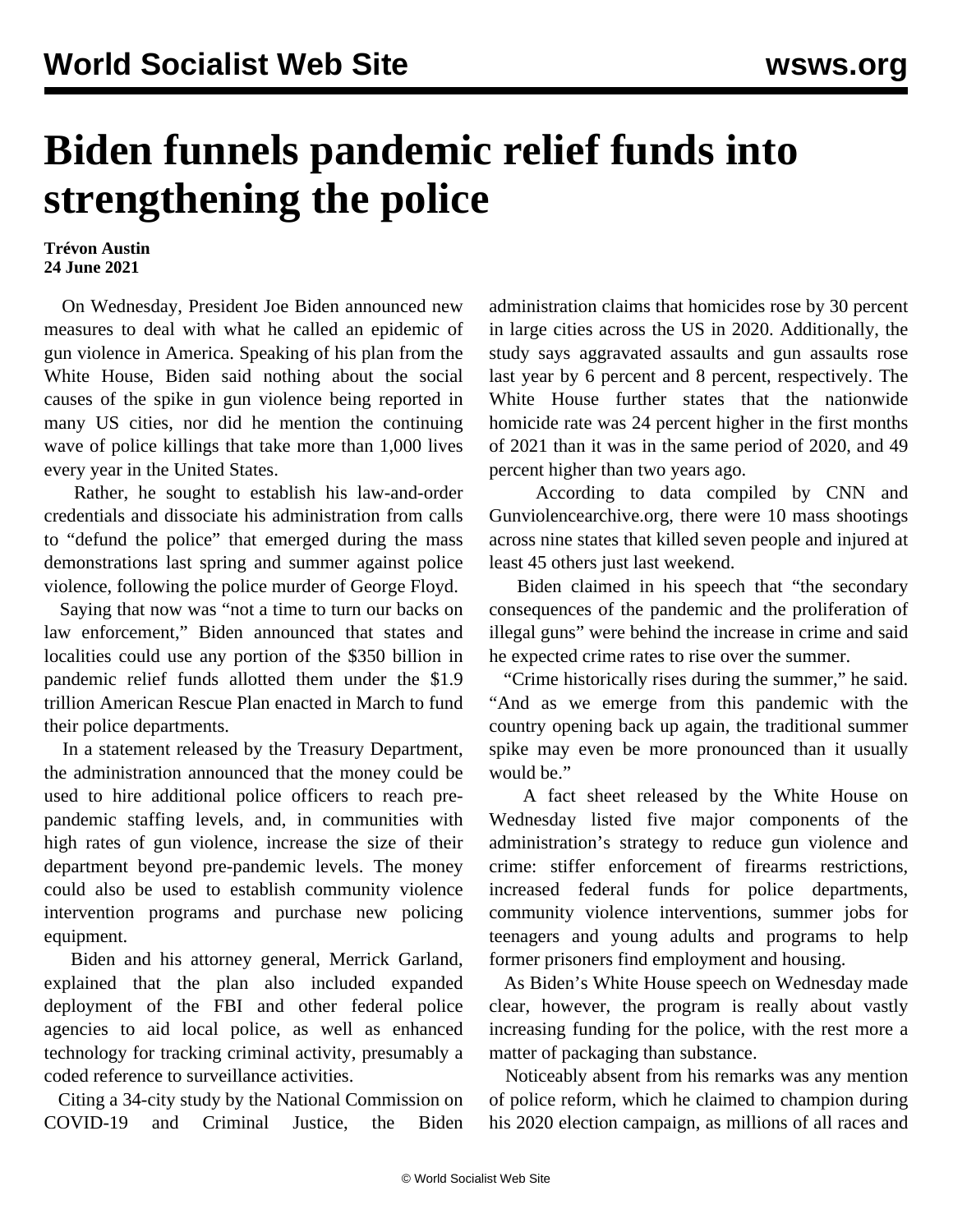## **Biden funnels pandemic relief funds into strengthening the police**

## **Trévon Austin 24 June 2021**

 On Wednesday, President Joe Biden announced new measures to deal with what he called an epidemic of gun violence in America. Speaking of his plan from the White House, Biden said nothing about the social causes of the spike in gun violence being reported in many US cities, nor did he mention the continuing wave of police killings that take more than 1,000 lives every year in the United States.

 Rather, he sought to establish his law-and-order credentials and dissociate his administration from calls to "defund the police" that emerged during the mass demonstrations last spring and summer against police violence, following the police murder of George Floyd.

 Saying that now was "not a time to turn our backs on law enforcement," Biden announced that states and localities could use any portion of the \$350 billion in pandemic relief funds allotted them under the \$1.9 trillion American Rescue Plan enacted in March to fund their police departments.

 In a statement released by the Treasury Department, the administration announced that the money could be used to hire additional police officers to reach prepandemic staffing levels, and, in communities with high rates of gun violence, increase the size of their department beyond pre-pandemic levels. The money could also be used to establish community violence intervention programs and purchase new policing equipment.

 Biden and his attorney general, Merrick Garland, explained that the plan also included expanded deployment of the FBI and other federal police agencies to aid local police, as well as enhanced technology for tracking criminal activity, presumably a coded reference to surveillance activities.

 Citing a 34-city study by the National Commission on COVID-19 and Criminal Justice, the Biden administration claims that homicides rose by 30 percent in large cities across the US in 2020. Additionally, the study says aggravated assaults and gun assaults rose last year by 6 percent and 8 percent, respectively. The White House further states that the nationwide homicide rate was 24 percent higher in the first months of 2021 than it was in the same period of 2020, and 49 percent higher than two years ago.

 According to data compiled by CNN and Gunviolencearchive.org, there were 10 mass shootings across nine states that killed seven people and injured at least 45 others just last weekend.

 Biden claimed in his speech that "the secondary consequences of the pandemic and the proliferation of illegal guns" were behind the increase in crime and said he expected crime rates to rise over the summer.

 "Crime historically rises during the summer," he said. "And as we emerge from this pandemic with the country opening back up again, the traditional summer spike may even be more pronounced than it usually would be."

 A fact sheet released by the White House on Wednesday listed five major components of the administration's strategy to reduce gun violence and crime: stiffer enforcement of firearms restrictions, increased federal funds for police departments, community violence interventions, summer jobs for teenagers and young adults and programs to help former prisoners find employment and housing.

 As Biden's White House speech on Wednesday made clear, however, the program is really about vastly increasing funding for the police, with the rest more a matter of packaging than substance.

 Noticeably absent from his remarks was any mention of police reform, which he claimed to champion during his 2020 election campaign, as millions of all races and